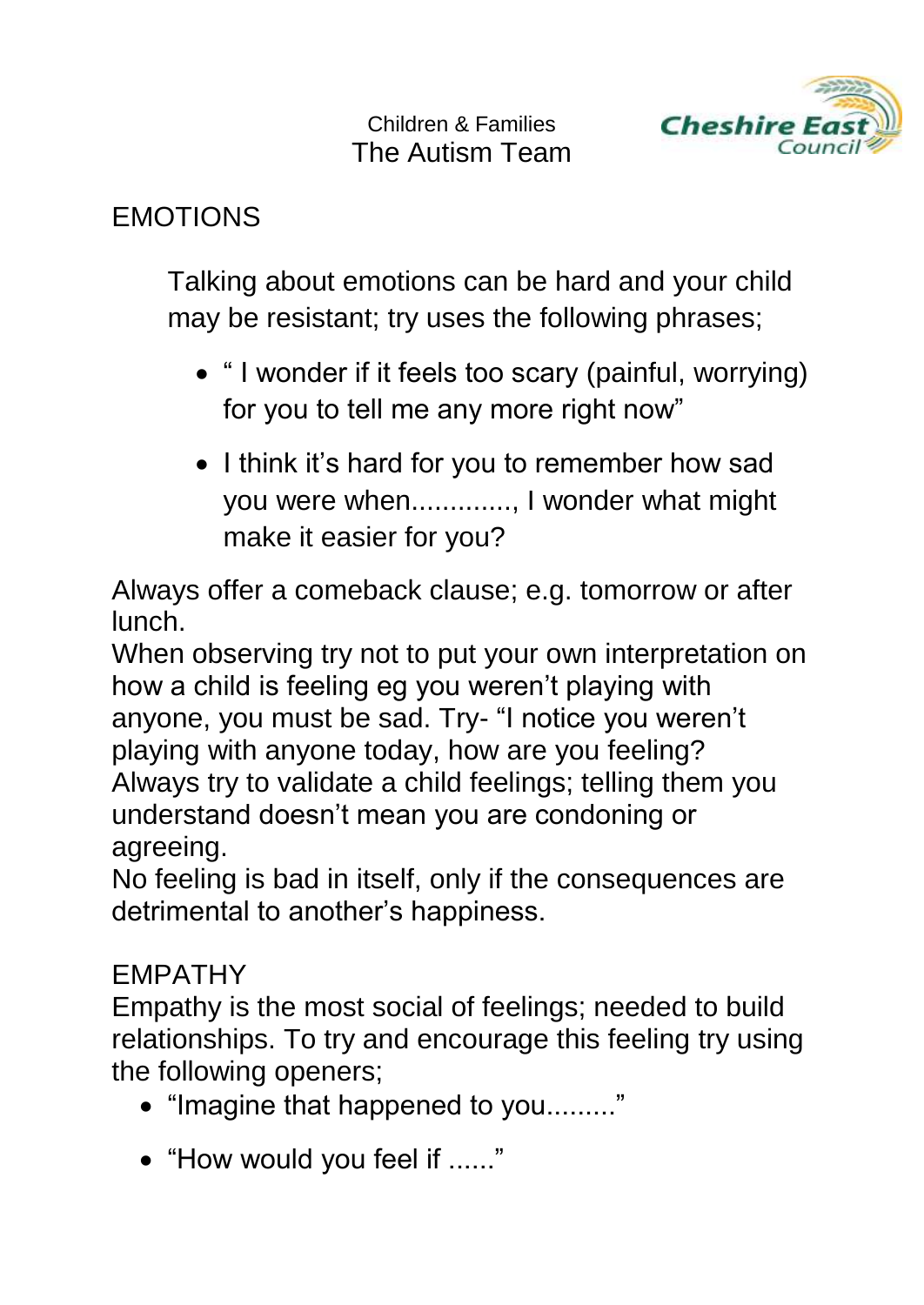

## EMOTIONS

Talking about emotions can be hard and your child may be resistant; try uses the following phrases;

- " I wonder if it feels too scary (painful, worrying) for you to tell me any more right now"
- I think it's hard for you to remember how sad you were when............., I wonder what might make it easier for you?

Always offer a comeback clause; e.g. tomorrow or after lunch.

When observing try not to put your own interpretation on how a child is feeling eg you weren't playing with anyone, you must be sad. Try- "I notice you weren't playing with anyone today, how are you feeling? Always try to validate a child feelings; telling them you understand doesn't mean you are condoning or agreeing.

No feeling is bad in itself, only if the consequences are detrimental to another's happiness.

## EMPATHY

Empathy is the most social of feelings; needed to build relationships. To try and encourage this feeling try using the following openers;

- "Imagine that happened to you........."
- "How would you feel if ......"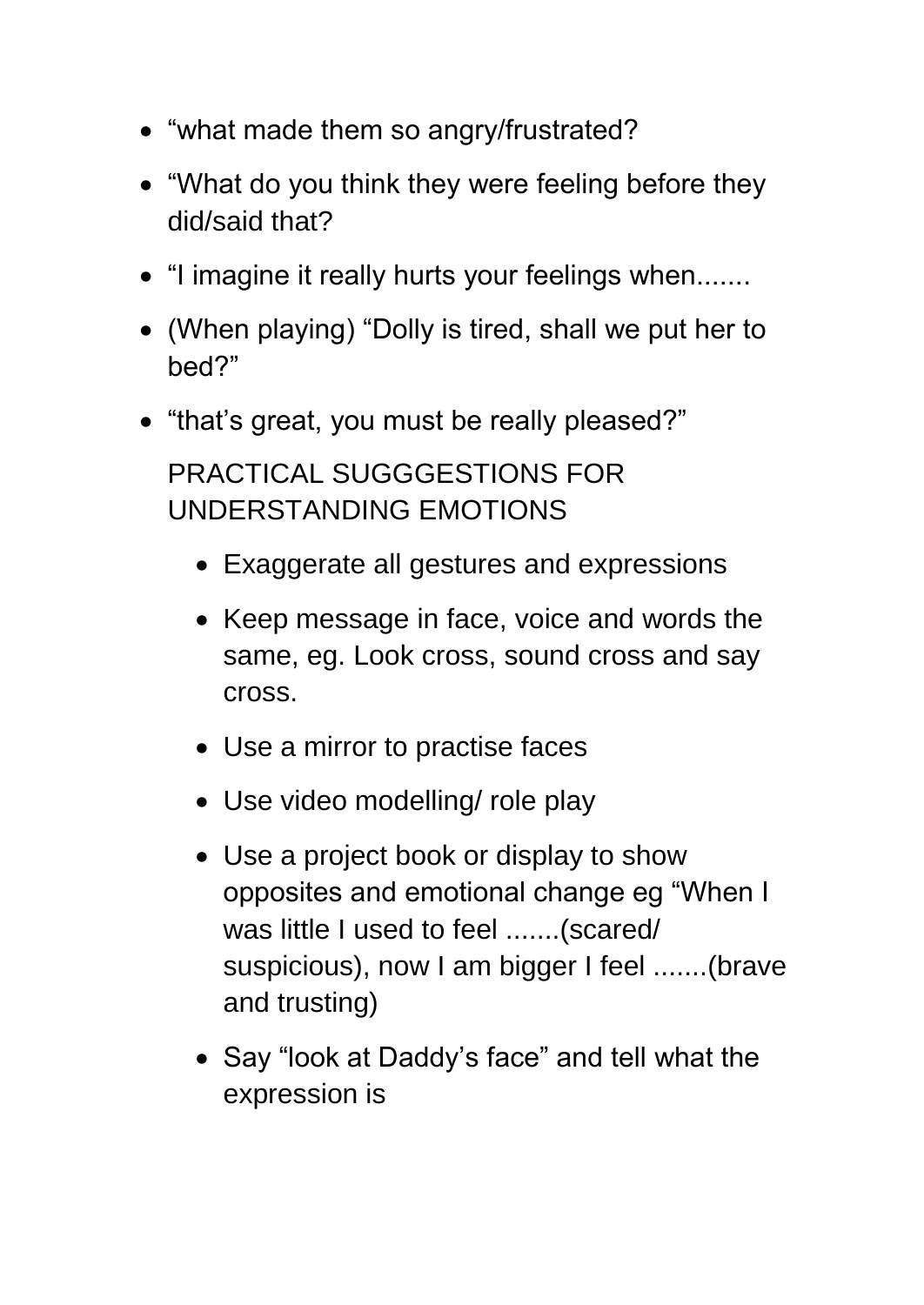- "what made them so angry/frustrated?
- "What do you think they were feeling before they did/said that?
- "I imagine it really hurts your feelings when.......
- (When playing) "Dolly is tired, shall we put her to bed?"
- "that's great, you must be really pleased?"

PRACTICAL SUGGGESTIONS FOR UNDERSTANDING EMOTIONS

- Exaggerate all gestures and expressions
- Keep message in face, voice and words the same, eg. Look cross, sound cross and say cross.
- Use a mirror to practise faces
- Use video modelling/ role play
- Use a project book or display to show opposites and emotional change eg "When I was little I used to feel .......(scared/ suspicious), now I am bigger I feel .......(brave and trusting)
- Say "look at Daddy's face" and tell what the expression is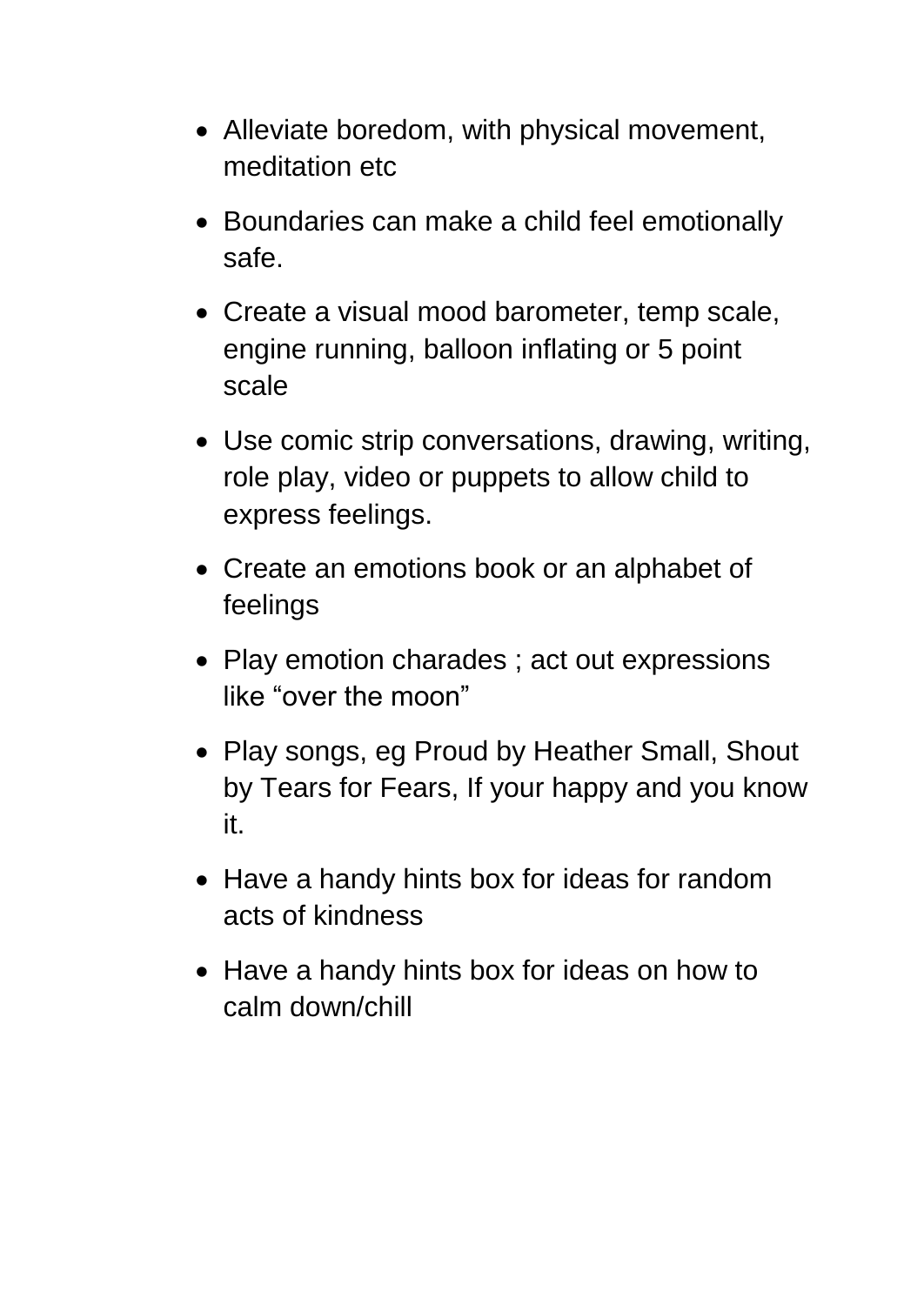- Alleviate boredom, with physical movement, meditation etc
- Boundaries can make a child feel emotionally safe.
- Create a visual mood barometer, temp scale, engine running, balloon inflating or 5 point scale
- Use comic strip conversations, drawing, writing, role play, video or puppets to allow child to express feelings.
- Create an emotions book or an alphabet of feelings
- Play emotion charades ; act out expressions like "over the moon"
- Play songs, eg Proud by Heather Small, Shout by Tears for Fears, If your happy and you know it.
- Have a handy hints box for ideas for random acts of kindness
- Have a handy hints box for ideas on how to calm down/chill